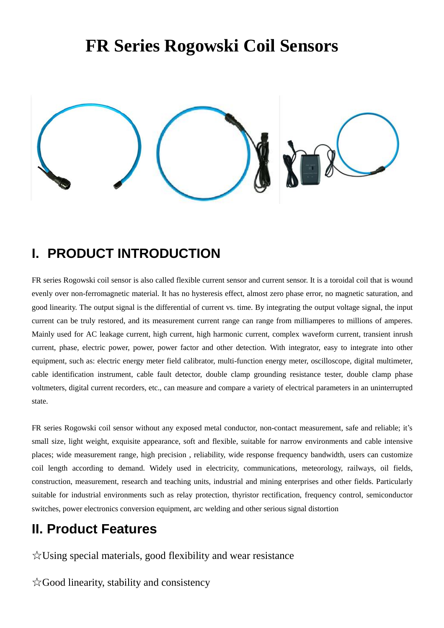# **FR Series Rogowski Coil Sensors**



### **I. PRODUCT INTRODUCTION**

FR series Rogowski coil sensor is also called flexible current sensor and current sensor. It is a toroidal coil that is wound evenly over non-ferromagnetic material. It has no hysteresis effect, almost zero phase error, no magnetic saturation, and good linearity. The output signal is the differential of current vs. time. By integrating the output voltage signal, the input current can be truly restored, and its measurement current range can range from milliamperes to millions of amperes. Mainly used for AC leakage current, high current, high harmonic current, complex waveform current, transient inrush current, phase, electric power, power, power factor and other detection. With integrator, easy to integrate into other equipment, such as: electric energy meter field calibrator, multi-function energy meter, oscilloscope, digital multimeter, cable identification instrument, cable fault detector, double clamp grounding resistance tester, double clamp phase voltmeters, digital current recorders, etc., can measure and compare a variety of electrical parameters in an uninterrupted state.

FR series Rogowski coil sensor without any exposed metal conductor, non-contact measurement, safe and reliable; it's small size, light weight, exquisite appearance, soft and flexible, suitable for narrow environments and cable intensive places; wide measurement range, high precision , reliability, wide response frequency bandwidth, users can customize coil length according to demand. Widely used in electricity, communications, meteorology, railways, oil fields, construction, measurement, research and teaching units, industrial and mining enterprises and other fields. Particularly suitable for industrial environments such as relay protection, thyristor rectification, frequency control, semiconductor switches, power electronics conversion equipment, arc welding and other serious signal distortion

### **II. Product Features**

☆Using special materials, good flexibility and wear resistance

☆Good linearity, stability and consistency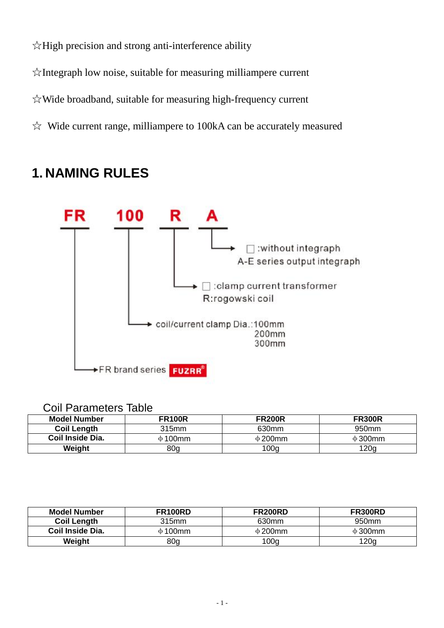☆High precision and strong anti-interference ability

☆Integraph low noise, suitable for measuring milliampere current

☆Wide broadband, suitable for measuring high-frequency current

 $\&$  Wide current range, milliampere to 100kA can be accurately measured

### **1. NAMING RULES**



#### Coil Parameters Table

| <b>Model Number</b> | <b>FR100R</b>   | <b>FR200R</b> | <b>FR300R</b> |
|---------------------|-----------------|---------------|---------------|
| <b>Coil Length</b>  | 315mm           | 630mm         | 950mm         |
| Coil Inside Dia.    | $\Phi$ 100mm    | $\Phi$ 200mm  | $\Phi$ 300mm  |
| Weight              | 80 <sub>q</sub> | 100g          | 120q          |

| <b>Model Number</b> | <b>FR100RD</b>  | <b>FR200RD</b>   | <b>FR300RD</b>    |
|---------------------|-----------------|------------------|-------------------|
| <b>Coil Length</b>  | 315mm           | 630mm            | 950 <sub>mm</sub> |
| Coil Inside Dia.    | $\Phi$ 100mm    | $\Phi$ 200mm     | $\Phi$ 300mm      |
| Weight              | 80 <sub>g</sub> | 100 <sub>g</sub> | 120g              |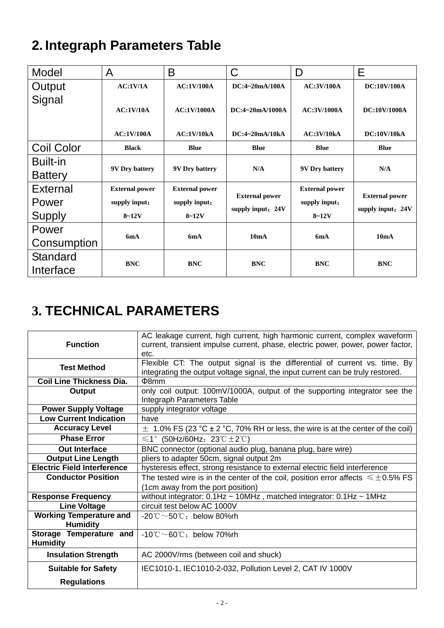# **2. Integraph Parameters Table**

| Model             | A                     | B                     | C                                          | D                     | E                                          |
|-------------------|-----------------------|-----------------------|--------------------------------------------|-----------------------|--------------------------------------------|
| Output            | AC:1V/1A              | AC:1V/100A            | DC:4~20mA/100A                             | <b>AC:3V/100A</b>     | DC:10V/100A                                |
| Signal            | AC:1V/10A             | <b>AC:1V/1000A</b>    | DC:4~20mA/1000A                            | AC:3V/1000A           | <b>DC:10V/1000A</b>                        |
|                   | <b>AC:1V/100A</b>     | AC:1V/10kA            | DC:4~20mA/10kA                             | AC:3V/10kA            | <b>DC:10V/10kA</b>                         |
| <b>Coil Color</b> | <b>Black</b>          | <b>Blue</b>           | <b>Blue</b>                                | <b>Blue</b>           | <b>Blue</b>                                |
| <b>Built-in</b>   |                       |                       | N/A                                        |                       | N/A                                        |
| <b>Battery</b>    | <b>9V Dry battery</b> | <b>9V Dry battery</b> |                                            | 9V Dry battery        |                                            |
| <b>External</b>   | <b>External power</b> | <b>External power</b> |                                            | <b>External power</b> |                                            |
| Power             | supply input:         | supply input:         | <b>External power</b><br>supply input: 24V | supply input:         | <b>External power</b><br>supply input: 24V |
| <b>Supply</b>     | $8 - 12V$             | $8 - 12V$             |                                            | $8 - 12V$             |                                            |
| Power             | 6mA                   |                       | 10mA                                       | 6mA                   | 10mA                                       |
| Consumption       |                       | 6mA                   |                                            |                       |                                            |
| Standard          | <b>BNC</b>            | <b>BNC</b>            | <b>BNC</b>                                 | <b>BNC</b>            | <b>BNC</b>                                 |
| Interface         |                       |                       |                                            |                       |                                            |

# **3. TECHNICAL PARAMETERS**

| <b>Function</b>                                   | AC leakage current, high current, high harmonic current, complex waveform<br>current, transient impulse current, phase, electric power, power, power factor,<br>etc. |  |  |
|---------------------------------------------------|----------------------------------------------------------------------------------------------------------------------------------------------------------------------|--|--|
| <b>Test Method</b>                                | Flexible CT: The output signal is the differential of current vs. time. By<br>integrating the output voltage signal, the input current can be truly restored.        |  |  |
| <b>Coil Line Thickness Dia.</b>                   | $\Phi$ 8mm                                                                                                                                                           |  |  |
| Output                                            | only coil output: 100mV/1000A, output of the supporting integrator see the<br>Integraph Parameters Table                                                             |  |  |
| <b>Power Supply Voltage</b>                       | supply integrator voltage                                                                                                                                            |  |  |
| <b>Low Current Indication</b>                     | have                                                                                                                                                                 |  |  |
| <b>Accuracy Level</b>                             | $\pm$ 1.0% FS (23 °C $\pm$ 2 °C, 70% RH or less, the wire is at the center of the coil)                                                                              |  |  |
| <b>Phase Error</b>                                | $\leq 1^{\circ}$ (50Hz/60Hz; 23℃±2℃)                                                                                                                                 |  |  |
| <b>Out Interface</b>                              | BNC connector (optional audio plug, banana plug, bare wire)                                                                                                          |  |  |
| <b>Output Line Length</b>                         | pliers to adapter 50cm, signal output 2m                                                                                                                             |  |  |
| <b>Electric Field Interference</b>                | hysteresis effect, strong resistance to external electric field interference                                                                                         |  |  |
| <b>Conductor Position</b>                         | The tested wire is in the center of the coil, position error affects $\leq \pm 0.5\%$ FS                                                                             |  |  |
|                                                   | (1cm away from the port position)                                                                                                                                    |  |  |
| <b>Response Frequency</b>                         | without integrator: $0.1$ Hz ~ 10MHz, matched integrator: $0.1$ Hz ~ 1MHz                                                                                            |  |  |
| <b>Line Voltage</b>                               | circuit test below AC 1000V                                                                                                                                          |  |  |
| <b>Working Temperature and</b><br><b>Humidity</b> | $-20^{\circ}\text{C} \sim 50^{\circ}\text{C}$ ; below 80%rh                                                                                                          |  |  |
| Storage Temperature and<br><b>Humidity</b>        | $-10^{\circ}$ C $\sim$ 60 $^{\circ}$ C; below 70%rh                                                                                                                  |  |  |
| <b>Insulation Strength</b>                        | AC 2000V/rms (between coil and shuck)                                                                                                                                |  |  |
| <b>Suitable for Safety</b>                        | IEC1010-1, IEC1010-2-032, Pollution Level 2, CAT IV 1000V                                                                                                            |  |  |
| <b>Regulations</b>                                |                                                                                                                                                                      |  |  |